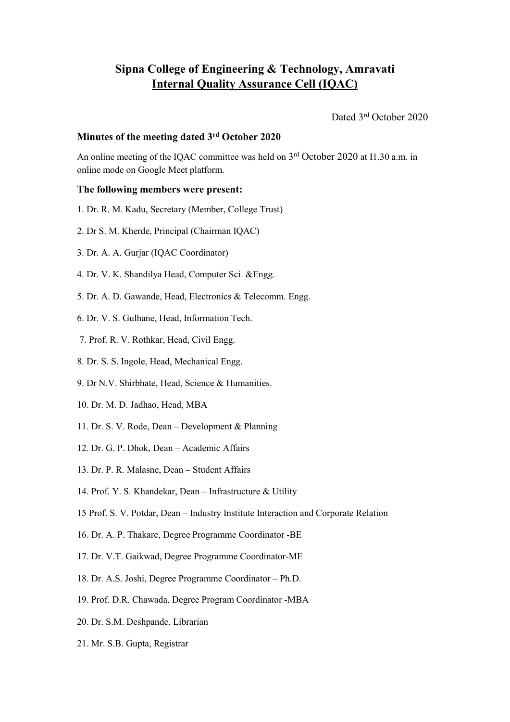# **Sipna College of Engineering & Technology, Amravati Internal Quality Assurance Cell (IQAC)**

Dated 3 rd October 2020

## **Minutes ofthe meeting dated 3 rd October 2020**

An online meeting of the IQAC committee was held on 3<sup>rd</sup> October 2020 at I1.30 a.m. in online mode on Google Meet platform.

### **The following members were present:**

- 1. Dr. R. M. Kadu, Secretary (Member, College Trust)
- 2. Dr S. M. Kherde, Principal (Chairman IQAC)
- 3. Dr. A. A. Gurjar (IQAC Coordinator)
- 4. Dr. V. K. Shandilya Head, Computer Sci. &Engg.
- 5. Dr. A. D. Gawande, Head, Electronics & Telecomm. Engg.
- 6. Dr. V. S. Gulhane, Head, Information Tech.
- 7. Prof. R. V. Rothkar, Head, Civil Engg.
- 8. Dr. S. S. Ingole, Head, Mechanical Engg.
- 9. Dr N.V. Shirbhate, Head, Science & Humanities.
- 10. Dr. M. D. Jadhao, Head, MBA
- 11. Dr. S. V. Rode, Dean Development & Planning
- 12. Dr. G. P. Dhok, Dean Academic Affairs
- 13. Dr. P. R. Malasne, Dean Student Affairs
- 14. Prof. Y. S. Khandekar, Dean Infrastructure & Utility
- 15 Prof. S. V. Potdar, Dean Industry Institute Interaction and Corporate Relation
- 16. Dr. A. P. Thakare, Degree Programme Coordinator -BE
- 17. Dr. V.T. Gaikwad, Degree Programme Coordinator-ME
- 18. Dr. A.S. Joshi, Degree Programme Coordinator Ph.D.
- 19. Prof. D.R. Chawada, Degree Program Coordinator -MBA
- 20. Dr. S.M. Deshpande, Librarian
- 21. Mr. S.B. Gupta, Registrar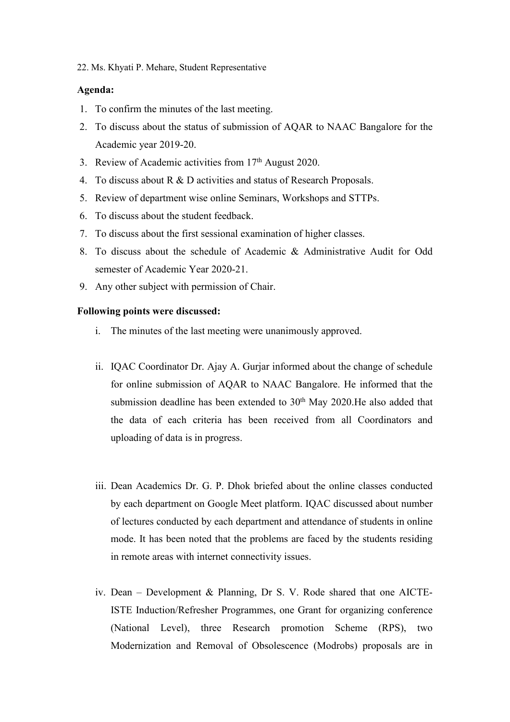22. Ms. Khyati P. Mehare, Student Representative

#### **Agenda:**

- 1. To confirm the minutes of the last meeting.
- 2. To discuss about the status of submission of AQAR to NAAC Bangalore for the Academic year 2019-20.
- 3. Review of Academic activities from  $17<sup>th</sup>$  August 2020.
- 4. To discuss about R & D activities and status of Research Proposals.
- 5. Review of department wise online Seminars, Workshops and STTPs.
- 6. To discuss about the student feedback.
- 7. To discuss about the first sessional examination of higher classes.
- 8. To discuss about the schedule of Academic & Administrative Audit for Odd semester of Academic Year 2020-21.
- 9. Any other subject with permission of Chair.

#### **Following points were discussed:**

- i. The minutes of the last meeting were unanimously approved.
- ii. IQAC Coordinator Dr. Ajay A. Gurjar informed about the change of schedule for online submission of AQAR to NAAC Bangalore. He informed that the submission deadline has been extended to 30<sup>th</sup> May 2020. He also added that the data of each criteria has been received from allCoordinators and uploading of data is in progress.
- iii. Dean Academics Dr. G. P. Dhok briefed about the online classes conducted by each department on Google Meet platform. IQAC discussed about number of lectures conducted by each department and attendance of students in online mode. It has been noted that the problems are faced by the students residing in remote areas with internet connectivity issues.
- iv. Dean Development & Planning, Dr S. V. Rode shared that one AICTE-ISTE Induction/Refresher Programmes, one Grant for organizing conference (National Level), three Research promotion Scheme (RPS), two Modernization and Removal of Obsolescence (Modrobs) proposals are in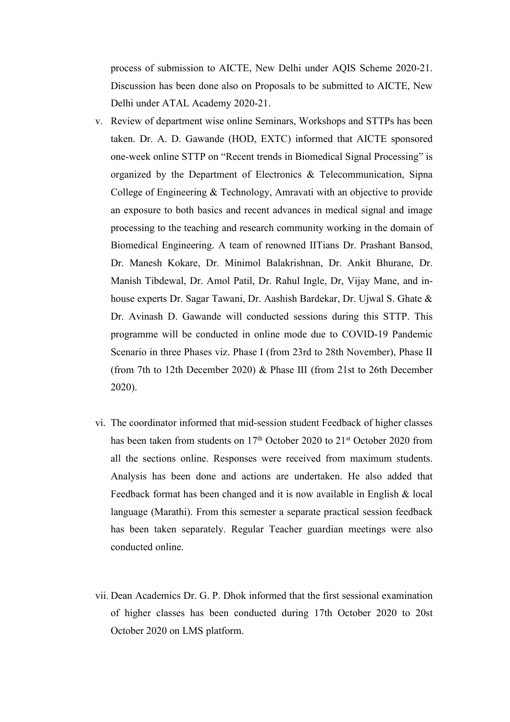process of submission to AICTE, New Delhi under AQIS Scheme 2020-21. Discussion has been done also on Proposals to be submitted to AICTE, New Delhi under ATAL Academy 2020-21.

- v. Review of department wise online Seminars, Workshops and STTPs has been taken. Dr. A. D. Gawande (HOD, EXTC) informed that AICTE sponsored one-week online STTP on "Recent trends in Biomedical Signal Processing" is organized by the Department of Electronics & Telecommunication, Sipna College of Engineering & Technology, Amravati with an objective to provide an exposure to both basics and recent advances in medical signal and image processing to the teaching and research community working in the domain of Biomedical Engineering. A team of renowned IITians Dr. Prashant Bansod, Dr. Manesh Kokare, Dr. Minimol Balakrishnan, Dr. Ankit Bhurane, Dr. Manish Tibdewal, Dr. Amol Patil, Dr. Rahul Ingle, Dr, Vijay Mane, and in house experts Dr. Sagar Tawani, Dr. Aashish Bardekar, Dr. Ujwal S. Ghate & Dr. Avinash D. Gawande will conducted sessions during this STTP. This programme will be conducted in online mode due to COVID-19 Pandemic Scenario in three Phases viz. Phase I (from 23rd to 28th November), Phase II (from 7th to 12th December 2020) & Phase III (from 21st to 26th December 2020).
- vi. The coordinator informed that mid-session student Feedback of higher classes has been taken from students on 17<sup>th</sup> October 2020 to 21<sup>st</sup> October 2020 from all the sections online. Responses were received from maximum students. Analysis has been done and actions are undertaken. He also added that Feedback format has been changed and it is now available in English & local language (Marathi). From this semester a separate practical session feedback has been taken separately. Regular Teacher guardian meetings were also conducted online.
- vii. Dean Academics Dr. G. P. Dhok informed that the first sessional examination of higher classes has been conducted during 17th October 2020 to 20st October 2020 on LMS platform.